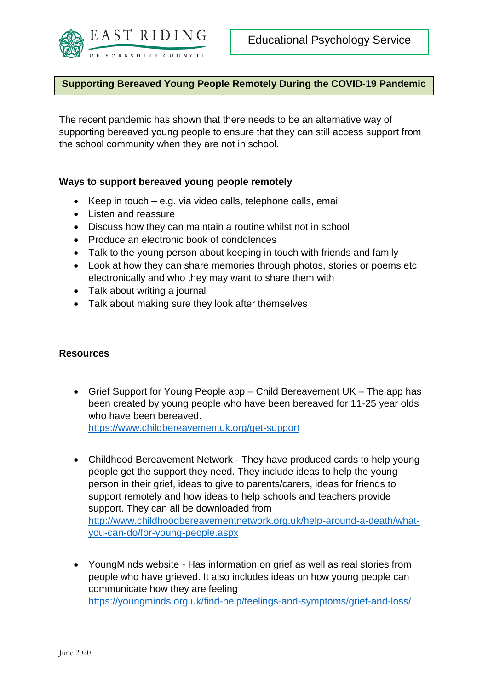

## **Supporting Bereaved Young People Remotely During the COVID-19 Pandemic**

The recent pandemic has shown that there needs to be an alternative way of supporting bereaved young people to ensure that they can still access support from the school community when they are not in school.

## **Ways to support bereaved young people remotely**

- Keep in touch e.g. via video calls, telephone calls, email
- Listen and reassure
- Discuss how they can maintain a routine whilst not in school
- Produce an electronic book of condolences
- Talk to the young person about keeping in touch with friends and family
- Look at how they can share memories through photos, stories or poems etc electronically and who they may want to share them with
- Talk about writing a journal
- Talk about making sure they look after themselves

## **Resources**

• Grief Support for Young People app – Child Bereavement UK – The app has been created by young people who have been bereaved for 11-25 year olds who have been bereaved. <https://www.childbereavementuk.org/get-support>

• Childhood Bereavement Network - They have produced cards to help young people get the support they need. They include ideas to help the young person in their grief, ideas to give to parents/carers, ideas for friends to support remotely and how ideas to help schools and teachers provide support. They can all be downloaded from [http://www.childhoodbereavementnetwork.org.uk/help-around-a-death/what](http://www.childhoodbereavementnetwork.org.uk/help-around-a-death/what-you-can-do/for-young-people.aspx)[you-can-do/for-young-people.aspx](http://www.childhoodbereavementnetwork.org.uk/help-around-a-death/what-you-can-do/for-young-people.aspx)

 YoungMinds website - Has information on grief as well as real stories from people who have grieved. It also includes ideas on how young people can communicate how they are feeling <https://youngminds.org.uk/find-help/feelings-and-symptoms/grief-and-loss/>